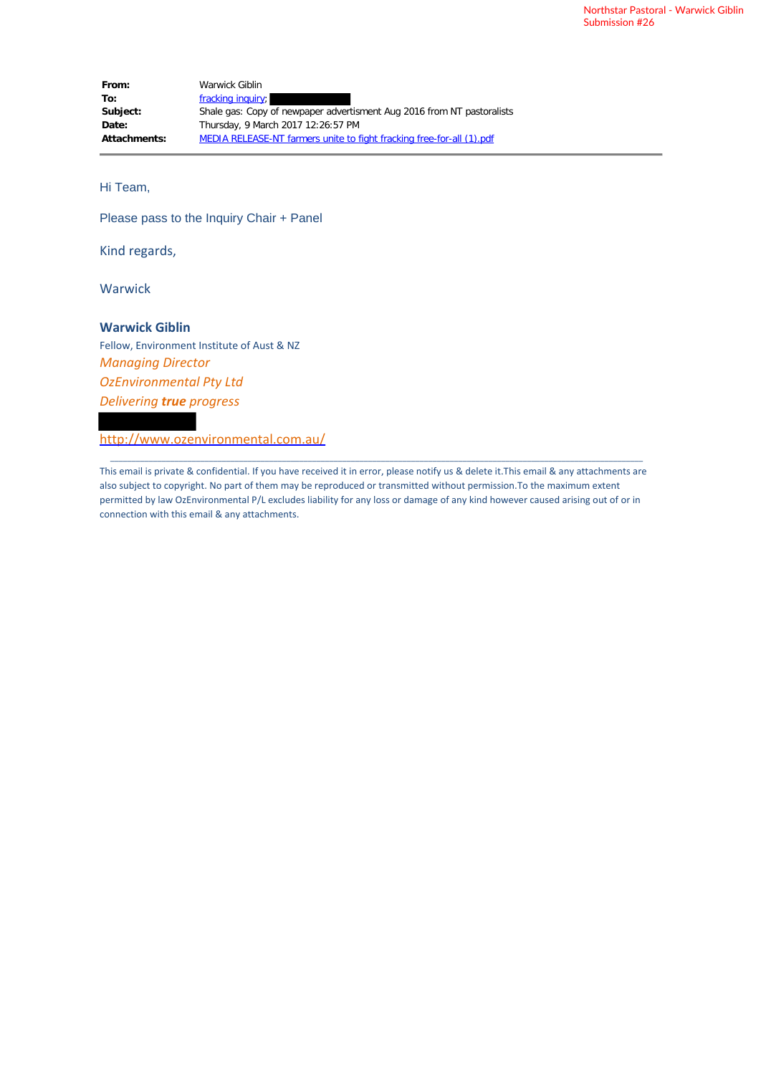| From:        | Warwick Giblin                                                         |
|--------------|------------------------------------------------------------------------|
| To:          | fracking inquiry;                                                      |
| Subject:     | Shale gas: Copy of newpaper advertisment Aug 2016 from NT pastoralists |
| Date:        | Thursday, 9 March 2017 12:26:57 PM                                     |
| Attachments: | MEDIA RELEASE-NT farmers unite to fight fracking free-for-all (1) pdf  |

Hi Team,

Please pass to the Inquiry Chair + Panel

Kind regards,

Warwick

### **Warwick Giblin**

Fellow, Environment Institute of Aust & NZ *Managing Director OzEnvironmental Pty Ltd Delivering true progress*

http://www.ozenvironmental.com.au/

This email is private & confidential. If you have received it in error, please notify us & delete it.This email & any attachments are also subject to copyright. No part of them may be reproduced or transmitted without permission.To the maximum extent permitted by law OzEnvironmental P/L excludes liability for any loss or damage of any kind however caused arising out of or in connection with this email & any attachments.

\_\_\_\_\_\_\_\_\_\_\_\_\_\_\_\_\_\_\_\_\_\_\_\_\_\_\_\_\_\_\_\_\_\_\_\_\_\_\_\_\_\_\_\_\_\_\_\_\_\_\_\_\_\_\_\_\_\_\_\_\_\_\_\_\_\_\_\_\_\_\_\_\_\_\_\_\_\_\_\_\_\_\_\_\_\_\_\_\_\_\_\_\_\_\_\_\_\_\_\_\_\_\_\_\_\_\_\_\_\_\_\_\_\_\_\_\_\_\_\_\_\_\_\_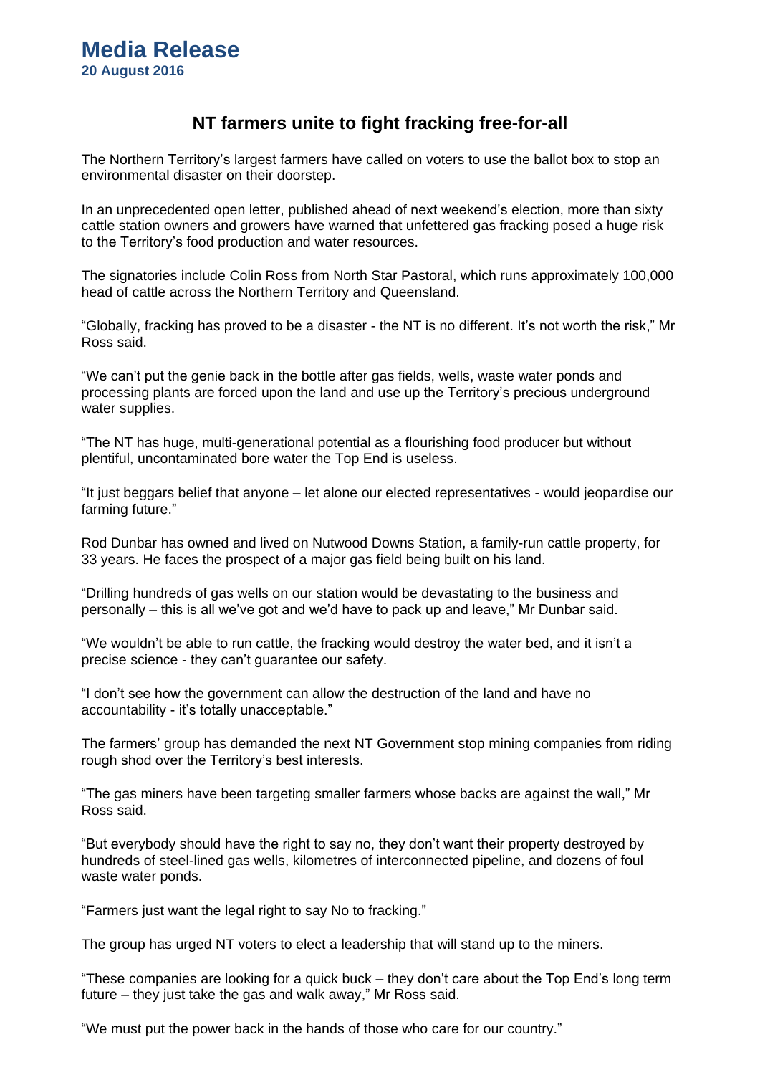# **NT farmers unite to fight fracking free-for-all**

The Northern Territory's largest farmers have called on voters to use the ballot box to stop an environmental disaster on their doorstep.

In an unprecedented open letter, published ahead of next weekend's election, more than sixty cattle station owners and growers have warned that unfettered gas fracking posed a huge risk to the Territory's food production and water resources.

The signatories include Colin Ross from North Star Pastoral, which runs approximately 100,000 head of cattle across the Northern Territory and Queensland.

"Globally, fracking has proved to be a disaster - the NT is no different. It's not worth the risk," Mr Ross said.

"We can't put the genie back in the bottle after gas fields, wells, waste water ponds and processing plants are forced upon the land and use up the Territory's precious underground water supplies.

"The NT has huge, multi-generational potential as a flourishing food producer but without plentiful, uncontaminated bore water the Top End is useless.

"It just beggars belief that anyone – let alone our elected representatives - would jeopardise our farming future."

Rod Dunbar has owned and lived on Nutwood Downs Station, a family-run cattle property, for 33 years. He faces the prospect of a major gas field being built on his land.

"Drilling hundreds of gas wells on our station would be devastating to the business and personally – this is all we've got and we'd have to pack up and leave," Mr Dunbar said.

"We wouldn't be able to run cattle, the fracking would destroy the water bed, and it isn't a precise science - they can't guarantee our safety.

"I don't see how the government can allow the destruction of the land and have no accountability - it's totally unacceptable."

The farmers' group has demanded the next NT Government stop mining companies from riding rough shod over the Territory's best interests.

"The gas miners have been targeting smaller farmers whose backs are against the wall," Mr Ross said.

"But everybody should have the right to say no, they don't want their property destroyed by hundreds of steel-lined gas wells, kilometres of interconnected pipeline, and dozens of foul waste water ponds.

"Farmers just want the legal right to say No to fracking."

The group has urged NT voters to elect a leadership that will stand up to the miners.

"These companies are looking for a quick buck – they don't care about the Top End's long term future – they just take the gas and walk away," Mr Ross said.

"We must put the power back in the hands of those who care for our country."